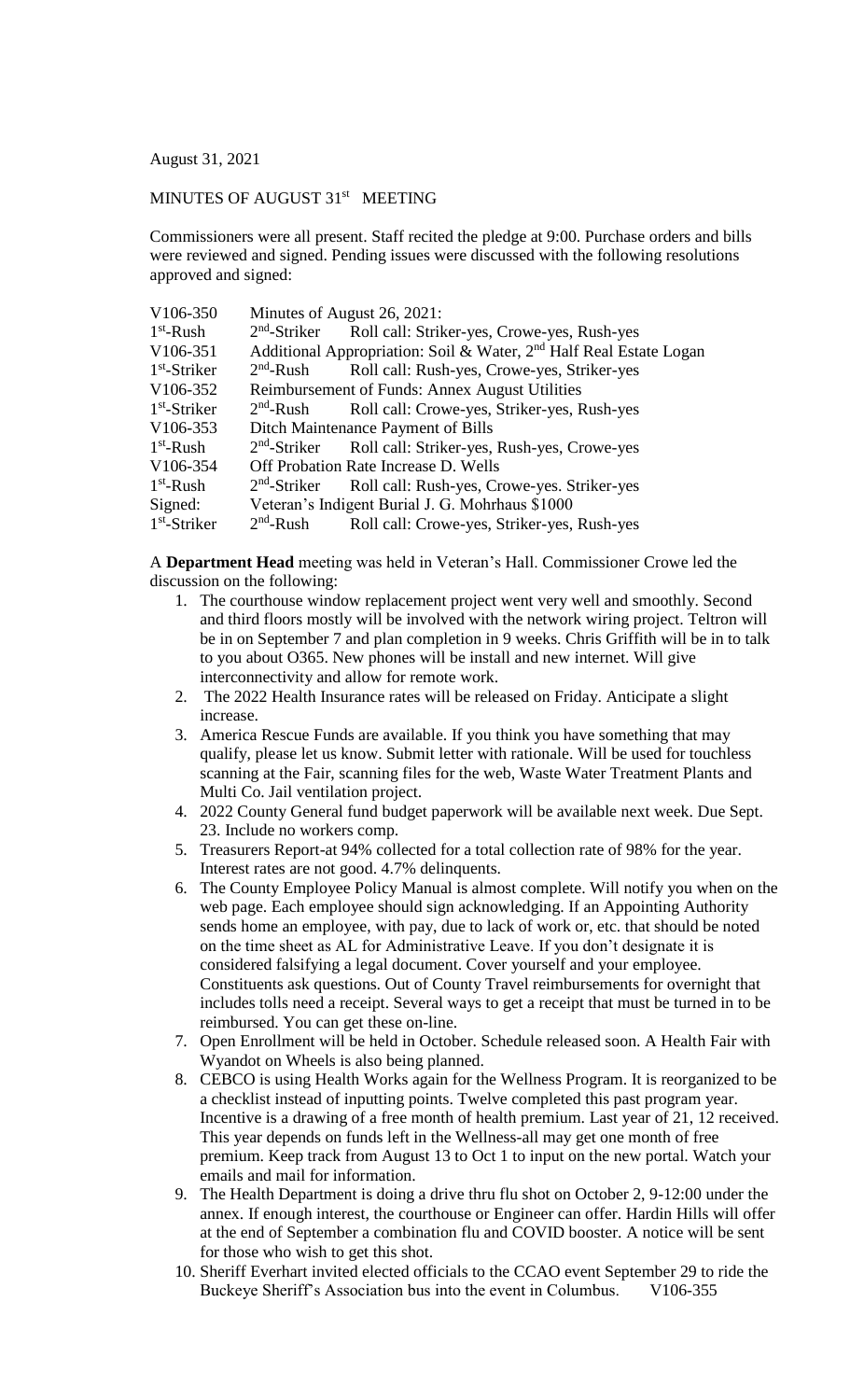August 31, 2021

## MINUTES OF AUGUST 31<sup>st</sup> MEETING

Commissioners were all present. Staff recited the pledge at 9:00. Purchase orders and bills were reviewed and signed. Pending issues were discussed with the following resolutions approved and signed:

| V106-350       |                                                | Minutes of August 26, 2021:                                                    |  |
|----------------|------------------------------------------------|--------------------------------------------------------------------------------|--|
| $1st$ -Rush    |                                                | 2 <sup>nd</sup> -Striker Roll call: Striker-yes, Crowe-yes, Rush-yes           |  |
| V106-351       |                                                | Additional Appropriation: Soil & Water, 2 <sup>nd</sup> Half Real Estate Logan |  |
| $1st$ -Striker | $2nd$ -Rush                                    | Roll call: Rush-yes, Crowe-yes, Striker-yes                                    |  |
| V106-352       | Reimbursement of Funds: Annex August Utilities |                                                                                |  |
| $1st$ -Striker | $2nd$ -Rush                                    | Roll call: Crowe-yes, Striker-yes, Rush-yes                                    |  |
| V106-353       | Ditch Maintenance Payment of Bills             |                                                                                |  |
| $1st$ -Rush    |                                                | 2 <sup>nd</sup> -Striker Roll call: Striker-yes, Rush-yes, Crowe-yes           |  |
| V106-354       |                                                | Off Probation Rate Increase D. Wells                                           |  |
| $1st$ -Rush    | $2nd$ -Striker                                 | Roll call: Rush-yes, Crowe-yes. Striker-yes                                    |  |
| Signed:        |                                                | Veteran's Indigent Burial J. G. Mohrhaus \$1000                                |  |
| $1st$ -Striker | $2nd$ -Rush                                    | Roll call: Crowe-yes, Striker-yes, Rush-yes                                    |  |

A **Department Head** meeting was held in Veteran's Hall. Commissioner Crowe led the discussion on the following:

- 1. The courthouse window replacement project went very well and smoothly. Second and third floors mostly will be involved with the network wiring project. Teltron will be in on September 7 and plan completion in 9 weeks. Chris Griffith will be in to talk to you about O365. New phones will be install and new internet. Will give interconnectivity and allow for remote work.
- 2. The 2022 Health Insurance rates will be released on Friday. Anticipate a slight increase.
- 3. America Rescue Funds are available. If you think you have something that may qualify, please let us know. Submit letter with rationale. Will be used for touchless scanning at the Fair, scanning files for the web, Waste Water Treatment Plants and Multi Co. Jail ventilation project.
- 4. 2022 County General fund budget paperwork will be available next week. Due Sept. 23. Include no workers comp.
- 5. Treasurers Report-at 94% collected for a total collection rate of 98% for the year. Interest rates are not good. 4.7% delinquents.
- 6. The County Employee Policy Manual is almost complete. Will notify you when on the web page. Each employee should sign acknowledging. If an Appointing Authority sends home an employee, with pay, due to lack of work or, etc. that should be noted on the time sheet as AL for Administrative Leave. If you don't designate it is considered falsifying a legal document. Cover yourself and your employee. Constituents ask questions. Out of County Travel reimbursements for overnight that includes tolls need a receipt. Several ways to get a receipt that must be turned in to be reimbursed. You can get these on-line.
- 7. Open Enrollment will be held in October. Schedule released soon. A Health Fair with Wyandot on Wheels is also being planned.
- 8. CEBCO is using Health Works again for the Wellness Program. It is reorganized to be a checklist instead of inputting points. Twelve completed this past program year. Incentive is a drawing of a free month of health premium. Last year of 21, 12 received. This year depends on funds left in the Wellness-all may get one month of free premium. Keep track from August 13 to Oct 1 to input on the new portal. Watch your emails and mail for information.
- 9. The Health Department is doing a drive thru flu shot on October 2, 9-12:00 under the annex. If enough interest, the courthouse or Engineer can offer. Hardin Hills will offer at the end of September a combination flu and COVID booster. A notice will be sent for those who wish to get this shot.
- 10. Sheriff Everhart invited elected officials to the CCAO event September 29 to ride the Buckeye Sheriff's Association bus into the event in Columbus. V106-355